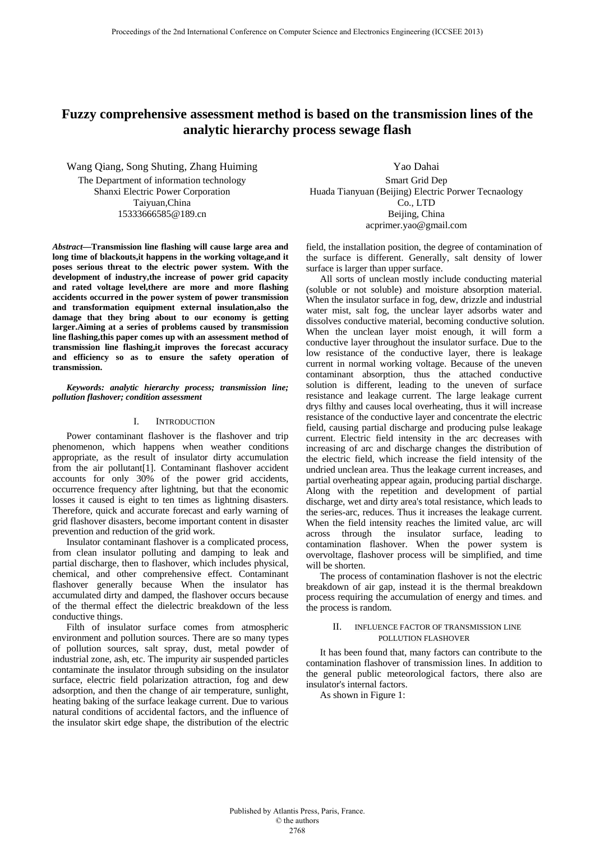# **Fuzzy comprehensive assessment method is based on the transmission lines of the analytic hierarchy process sewage flash**

Wang Qiang, Song Shuting, Zhang Huiming The Department of information technology Shanxi Electric Power Corporation Taiyuan,China 15333666585@189.cn

*Abstract***—Transmission line flashing will cause large area and long time of blackouts,it happens in the working voltage,and it poses serious threat to the electric power system. With the development of industry,the increase of power grid capacity and rated voltage level,there are more and more flashing accidents occurred in the power system of power transmission and transformation equipment external insulation,also the damage that they bring about to our economy is getting larger.Aiming at a series of problems caused by transmission line flashing,this paper comes up with an assessment method of transmission line flashing,it improves the forecast accuracy**  and efficiency so as to ensure the safety operation of **transmission.** 

*Keywords: analytic hierarchy process; transmission line; pollution flashover; condition assessment* 

### I. INTRODUCTION

Power contaminant flashover is the flashover and trip phenomenon, which happens when weather conditions appropriate, as the result of insulator dirty accumulation from the air pollutant[1]. Contaminant flashover accident accounts for only 30% of the power grid accidents, occurrence frequency after lightning, but that the economic losses it caused is eight to ten times as lightning disasters. Therefore, quick and accurate forecast and early warning of grid flashover disasters, become important content in disaster prevention and reduction of the grid work.

Insulator contaminant flashover is a complicated process, from clean insulator polluting and damping to leak and partial discharge, then to flashover, which includes physical, chemical, and other comprehensive effect. Contaminant flashover generally because When the insulator has accumulated dirty and damped, the flashover occurs because of the thermal effect the dielectric breakdown of the less conductive things.

Filth of insulator surface comes from atmospheric environment and pollution sources. There are so many types of pollution sources, salt spray, dust, metal powder of industrial zone, ash, etc. The impurity air suspended particles contaminate the insulator through subsiding on the insulator surface, electric field polarization attraction, fog and dew adsorption, and then the change of air temperature, sunlight, heating baking of the surface leakage current. Due to various natural conditions of accidental factors, and the influence of the insulator skirt edge shape, the distribution of the electric

Yao Dahai Smart Grid Dep Huada Tianyuan (Beijing) Electric Porwer Tecnaology Co., LTD Beijing, China acprimer.yao@gmail.com

field, the installation position, the degree of contamination of the surface is different. Generally, salt density of lower surface is larger than upper surface.

All sorts of unclean mostly include conducting material (soluble or not soluble) and moisture absorption material. When the insulator surface in fog, dew, drizzle and industrial water mist, salt fog, the unclear layer adsorbs water and dissolves conductive material, becoming conductive solution. When the unclean layer moist enough, it will form a conductive layer throughout the insulator surface. Due to the low resistance of the conductive layer, there is leakage current in normal working voltage. Because of the uneven contaminant absorption, thus the attached conductive solution is different, leading to the uneven of surface resistance and leakage current. The large leakage current drys filthy and causes local overheating, thus it will increase resistance of the conductive layer and concentrate the electric field, causing partial discharge and producing pulse leakage current. Electric field intensity in the arc decreases with increasing of arc and discharge changes the distribution of the electric field, which increase the field intensity of the undried unclean area. Thus the leakage current increases, and partial overheating appear again, producing partial discharge. Along with the repetition and development of partial discharge, wet and dirty area's total resistance, which leads to the series-arc, reduces. Thus it increases the leakage current. When the field intensity reaches the limited value, arc will across through the insulator surface, leading to contamination flashover. When the power system is overvoltage, flashover process will be simplified, and time will be shorten.

The process of contamination flashover is not the electric breakdown of air gap, instead it is the thermal breakdown process requiring the accumulation of energy and times. and the process is random.

## II. INFLUENCE FACTOR OF TRANSMISSION LINE POLLUTION FLASHOVER

It has been found that, many factors can contribute to the contamination flashover of transmission lines. In addition to the general public meteorological factors, there also are insulator's internal factors.

As shown in Figure 1: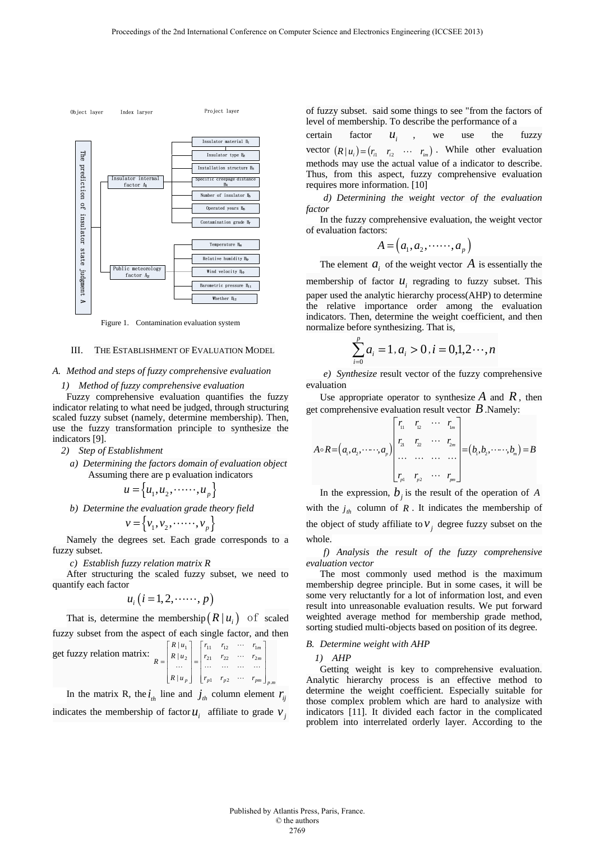

Figure 1. Contamination evaluation system

## III. THE ESTABLISHMENT OF EVALUATION MODEL

## *A. Method and steps of fuzzy comprehensive evaluation*

#### *1) Method of fuzzy comprehensive evaluation*

Fuzzy comprehensive evaluation quantifies the fuzzy indicator relating to what need be judged, through structuring scaled fuzzy subset (namely, determine membership). Then, use the fuzzy transformation principle to synthesize the indicators [9].

- *2) Step of Establishment* 
	- *a) Determining the factors domain of evaluation object*  Assuming there are p evaluation indicators

$$
u = \left\{ u_1, u_2, \cdots, u_p \right\}
$$

*b) Determine the evaluation grade theory field* 

$$
v = \left\{v_1, v_2, \dots, v_p\right\}
$$

Namely the degrees set. Each grade corresponds to a fuzzy subset.

*c) Establish fuzzy relation matrix R* 

After structuring the scaled fuzzy subset, we need to quantify each factor

$$
u_i (i=1,2,\cdots\cdots, p)
$$

That is, determine the membership  $(R | u_i)$  of scaled fuzzy subset from the aspect of each single factor, and then

get fuzzy relation matrix: 
$$
R = \begin{bmatrix} R |u_1 \\ R |u_2 \\ \dots \\ R |u_p \end{bmatrix} = \begin{bmatrix} r_{11} & r_{12} & \cdots & r_{1m} \\ r_{21} & r_{22} & \cdots & r_{2m} \\ \vdots & \vdots & \ddots & \vdots \\ r_{p1} & r_{p2} & \cdots & r_{pm} \end{bmatrix}_{p,m}
$$

In the matrix R, the  $i_{th}$  line and  $j_{th}$  column element  $r_{ij}$ indicates the membership of factor  $u_i$  affiliate to grade  $v_i$ 

of fuzzy subset. said some things to see "from the factors of level of membership. To describe the performance of a

certain factor  $u_i$ , we use the fuzzy vector  $(R | u_i) = (r_{i1} \quad r_{i2} \quad \cdots \quad r_{im})$ . While other evaluation methods may use the actual value of a indicator to describe. Thus, from this aspect, fuzzy comprehensive evaluation requires more information. [10]

*d) Determining the weight vector of the evaluation factor* 

In the fuzzy comprehensive evaluation, the weight vector of evaluation factors:

$$
A = (a_1, a_2, \cdots, a_p)
$$

The element  $a_i$  of the weight vector  $A$  is essentially the

membership of factor  $u_i$ , regrading to fuzzy subset. This paper used the analytic hierarchy process(AHP) to determine the relative importance order among the evaluation indicators. Then, determine the weight coefficient, and then normalize before synthesizing. That is,

$$
\sum_{i=0}^{p} a_i = 1, a_i > 0, i = 0, 1, 2 \cdots, n
$$

*e) Synthesize* result vector of the fuzzy comprehensive evaluation

Use appropriate operator to synthesize  $\overline{A}$  and  $\overline{R}$ , then get comprehensive evaluation result vector *B*.Namely:

$$
A \circ R = (a_1, a_2, \cdots, a_p) \begin{bmatrix} r_1 & r_2 & \cdots & r_{1m} \\ r_{21} & r_2 & \cdots & r_{2m} \\ \vdots & \vdots & \ddots & \vdots \\ r_{p1} & r_{p2} & \cdots & r_{pn} \end{bmatrix} = (b_1, b_2, \cdots, b_m) = B
$$

In the expression,  $b_j$  is the result of the operation of *A* with the  $j_{th}$  column of R. It indicates the membership of the object of study affiliate to  $v_i$ , degree fuzzy subset on the whole.

*f) Analysis the result of the fuzzy comprehensive evaluation vector* 

The most commonly used method is the maximum membership degree principle. But in some cases, it will be some very reluctantly for a lot of information lost, and even result into unreasonable evaluation results. We put forward weighted average method for membership grade method, sorting studied multi-objects based on position of its degree.

#### *B. Determine weight with AHP*

*1) AHP* 

Getting weight is key to comprehensive evaluation. Analytic hierarchy process is an effective method to determine the weight coefficient. Especially suitable for those complex problem which are hard to analysize with indicators [11]. It divided each factor in the complicated problem into interrelated orderly layer. According to the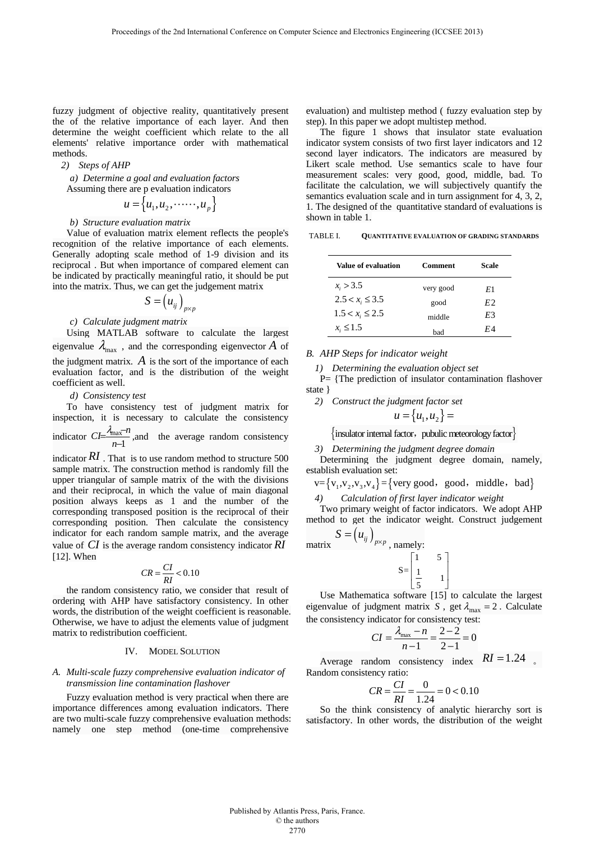fuzzy judgment of objective reality, quantitatively present the of the relative importance of each layer. And then determine the weight coefficient which relate to the all elements' relative importance order with mathematical methods.

#### *2) Steps of AHP*

*a) Determine a goal and evaluation factors* 

Assuming there are p evaluation indicators  
\n
$$
u = \{u_1, u_2, \dots, u_p\}
$$

### *b) Structure evaluation matrix*

Value of evaluation matrix element reflects the people's recognition of the relative importance of each elements. Generally adopting scale method of 1-9 division and its reciprocal . But when importance of compared element can be indicated by practically meaningful ratio, it should be put into the matrix. Thus, we can get the judgement matrix

$$
S=\left(u_{ij}\right)_{p\times p}
$$

## *c) Calculate judgment matrix*

Using MATLAB software to calculate the largest eigenvalue  $\lambda_{\text{max}}$ , and the corresponding eigenvector *A* of the judgment matrix.  $\vec{A}$  is the sort of the importance of each evaluation factor, and is the distribution of the weight coefficient as well.

#### *d) Consistency test*

To have consistency test of judgment matrix for inspection, it is necessary to calculate the consistency indicator  $CI = \frac{max}{n-1}$ max  $C = \frac{\lambda_{\text{max}} - n}{n - 1}$ , and the average random consistency indicator  $RI$ . That is to use random method to structure 500 sample matrix. The construction method is randomly fill the upper triangular of sample matrix of the with the divisions

and their reciprocal, in which the value of main diagonal position always keeps as 1 and the number of the corresponding transposed position is the reciprocal of their corresponding position. Then calculate the consistency indicator for each random sample matrix, and the average value of *CI* is the average random consistency indicator *RI* [12]. When

$$
CR = \frac{CI}{RI} < 0.10
$$

the random consistency ratio, we consider that result of ordering with AHP have satisfactory consistency. In other words, the distribution of the weight coefficient is reasonable. Otherwise, we have to adjust the elements value of judgment matrix to redistribution coefficient.

## IV. MODEL SOLUTION

## *A. Multi-scale fuzzy comprehensive evaluation indicator of transmission line contamination flashover*

Fuzzy evaluation method is very practical when there are importance differences among evaluation indicators. There are two multi-scale fuzzy comprehensive evaluation methods: namely one step method (one-time comprehensive

evaluation) and multistep method ( fuzzy evaluation step by step). In this paper we adopt multistep method.

The figure 1 shows that insulator state evaluation indicator system consists of two first layer indicators and 12 second layer indicators. The indicators are measured by Likert scale method. Use semantics scale to have four measurement scales: very good, good, middle, bad. To facilitate the calculation, we will subjectively quantify the semantics evaluation scale and in turn assignment for 4, 3, 2, 1. The designed of the quantitative standard of evaluations is shown in table 1.

TABLE I. **QUANTITATIVE EVALUATION OF GRADING STANDARDS**

| Value of evaluation  | Comment   | Scale          |
|----------------------|-----------|----------------|
| $x_i > 3.5$          | very good | E1             |
| $2.5 < x_i \leq 3.5$ | good      | E <sub>2</sub> |
| $1.5 < x_i \leq 2.5$ | middle    | E3             |
| $x_i \leq 1.5$       | had       | F.A            |

*B. AHP Steps for indicator weight* 

*1) Determining the evaluation object set* 

P= {The prediction of insulator contamination flashover state }

*2) Construct the judgment factor set* 

$$
u = \big\{u_1, u_2\big\} =
$$

 $\{$  insulator internal factor, pubulic meteorology factor  $\}$ 

#### *3) Determining the judgment degree domain*

Determining the judgment degree domain, namely, establish evaluation set:

$$
v = \{v_1, v_2, v_3, v_4\} = \{ \text{very good, good, middle, bad} \}
$$

*4) Calculation of first layer indicator weight* 

Two primary weight of factor indicators. We adopt AHP method to get the indicator weight. Construct judgement  $S = (u_{ij})^T$ 

matrix 
$$
\left( \begin{array}{c} y \\ y \end{array} \right)_{p \times p}
$$
, namely

1 5  $S = \begin{bmatrix} 1 & 5 \\ \frac{1}{5} & 1 \end{bmatrix}$ 

Use Mathematica software [15] to calculate the largest eigenvalue of judgment matrix *S*, get  $\lambda_{\text{max}} = 2$ . Calculate the consistency indicator for consistency test:

$$
CI = \frac{\lambda_{\text{max}} - n}{n - 1} = \frac{2 - 2}{2 - 1} = 0
$$

Average random consistency index *RI* =1.24 。 Random consistency ratio:

$$
CR = \frac{CI}{RI} = \frac{0}{1.24} = 0 < 0.10
$$

So the think consistency of analytic hierarchy sort is satisfactory. In other words, the distribution of the weight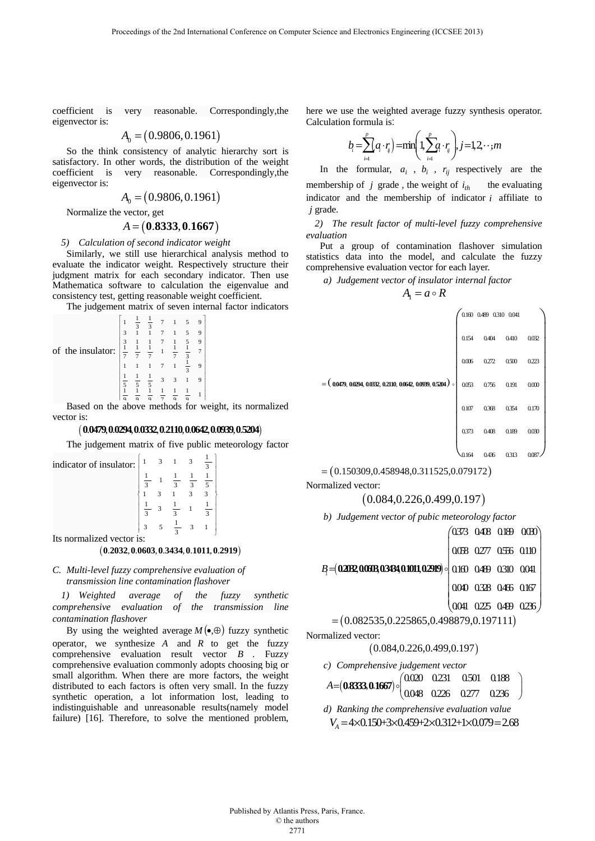coefficient is very reasonable. Correspondingly,the eigenvector is:

$$
A_0 = (0.9806, 0.1961)
$$

So the think consistency of analytic hierarchy sort is satisfactory. In other words, the distribution of the weight coefficient is very reasonable. Correspondingly,the eigenvector is:

$$
A_0 = (0.9806, 0.1961)
$$

Normalize the vector, get

# $A = (0.8333, 0.1667)$

*5) Calculation of second indicator weight* 

Similarly, we still use hierarchical analysis method to evaluate the indicator weight. Respectively structure their judgment matrix for each secondary indicator. Then use Mathematica software to calculation the eigenvalue and consistency test, getting reasonable weight coefficient.

The judgement matrix of seven internal factor indicators

|                   |                   | 3 | 3<br>1   |   |   |                | 9 |  |
|-------------------|-------------------|---|----------|---|---|----------------|---|--|
|                   | 3                 |   |          |   |   |                | 9 |  |
|                   | 3                 |   |          |   |   |                | 9 |  |
| of the insulator: | $\mathbf{1}$<br>7 |   |          |   |   | 3              |   |  |
|                   |                   |   |          |   |   | $\overline{3}$ | 9 |  |
|                   | 5                 |   | 5        | 3 | 3 |                | 9 |  |
|                   | 1<br>$\Omega$     | Q | $\Omega$ | 7 | Q | $\Omega$       |   |  |

 $\left|\frac{1}{9}, \frac{1}{9}, \frac{1}{9}, \frac{1}{9}, \frac{1}{9}, \frac{1}{9}\right|$ <br>Based on the above methods for weight, its normalized vector is:

# $($  0.0479, 0.0294, 0.0332, 0.2110, 0.0642, 0.0939, 0.5204 $)$

The judgement matrix of five public meteorology factor

| indicator of insulator:   | 1 |  |               |                |  |  |
|---------------------------|---|--|---------------|----------------|--|--|
|                           |   |  | $\mathcal{R}$ | $\overline{3}$ |  |  |
|                           |   |  |               |                |  |  |
|                           |   |  |               |                |  |  |
|                           |   |  |               |                |  |  |
| Its normalized vector is: |   |  |               |                |  |  |

# $( 0.2032, 0.0603, 0.3434, 0.1011, 0.2919)$

# *C. Multi-level fuzzy comprehensive evaluation of transmission line contamination flashover*

*1) Weighted average of the fuzzy synthetic comprehensive evaluation of the transmission line contamination flashover* 

By using the weighted average  $M(\bullet,\oplus)$  fuzzy synthetic operator, we synthesize *A* and *R* to get the fuzzy comprehensive evaluation result vector *B* . Fuzzy comprehensive evaluation commonly adopts choosing big or small algorithm. When there are more factors, the weight distributed to each factors is often very small. In the fuzzy synthetic operation, a lot information lost, leading to indistinguishable and unreasonable results(namely model failure) [16]. Therefore, to solve the mentioned problem, here we use the weighted average fuzzy synthesis operator. Calculation formula is:

$$
b_i = \sum_{i=1}^p a_i \cdot r_i = \min\left(1, \sum_{i=1}^p a_i \cdot r_i\right), j = 1, 2, \cdot \cdot \cdot, m
$$

In the formular,  $a_i$ ,  $b_i$ ,  $r_{ii}$  respectively are the membership of *j* grade, the weight of  $i_{th}$  the evaluating indicator and the membership of indicator *i* affiliate to *j* grade.

*2) The result factor of multi-level fuzzy comprehensive evaluation* 

Put a group of contamination flashover simulation statistics data into the model, and calculate the fuzzy comprehensive evaluation vector for each layer.

*a) Judgement vector of insulator internal factor* 

 $A_1 = a \circ R$ 

|                                                                     |       | 0.160 0.489 0.310 0.041 |           |       |
|---------------------------------------------------------------------|-------|-------------------------|-----------|-------|
|                                                                     | 0.154 | 0.404                   | 0.410     | 0.032 |
|                                                                     | 0006  | 0.272                   | $0.500\,$ | 0.223 |
| $=\big(0.0479, 0.0294, 0.0332, 0.2110, 0.0642, 0.0939, 0.5204\big)$ | 0.053 | 0.756                   | 0.191     | 000   |
|                                                                     | 0.107 | 0.368                   | 0.354     | 0.170 |
|                                                                     | 0.373 | 0.408                   | 0.189     | 0030  |
|                                                                     | 0.164 | 0.436                   | 0.313     | 0.08  |

# $=( 0.150309, 0.458948, 0.311525, 0.079172)$

Normalized vector:

$$
(0.084, 0.226, 0.499, 0.197)
$$

```
b) Judgement vector of pubic meteorology factor
```

```
B= (02032,00603,03434,01011,02919) | 0.160 0.489 0.310 0.041
                                                                  0.373 0.408 0.189 0.030
                                                                    0.058 0.277 0.556 0.110
                                                                   0.040 0.328 0.466 0.167
                                                                   0.041 0.225 0.499 0.236
                                                                  \begin{pmatrix} 0.373 & 0.408 & 0.189 & 0.000 \\ 0.058 & 0.277 & 0.556 & 0.110 \\ 0.160 & 0.489 & 0.310 & 0.041 \\ 0.040 & 0.328 & 0.466 & 0.167 \\ 0.041 & 0.225 & 0.499 & 0.236 \end{pmatrix}
```

$$
= (0.082535, 0.225865, 0.498879, 0.197111)
$$

Normalized vector:

 $(0.084, 0.226, 0.499, 0.197)$ 

```
c) Comprehensive judgement vector 
A = (0.8333, 0.1667) \circ \begin{pmatrix} 0.020 & 0.231 & 0.501 & 0.188 \\ 0.048 & 0.226 & 0.277 & 0.236 \end{pmatrix}d) Ranking the comprehensive evaluation value 
 V_A = 4 \times 0.150 + 3 \times 0.459 + 2 \times 0.312 + 1 \times 0.079 = 2.68
```